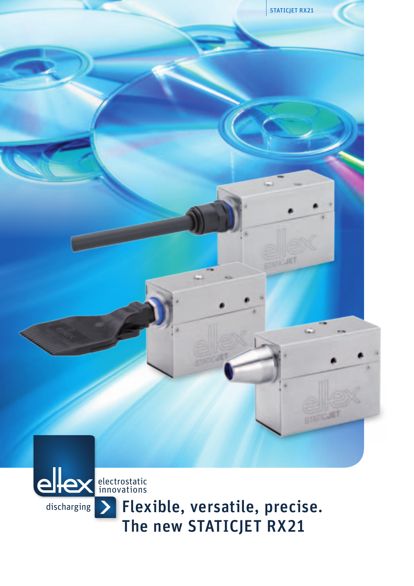

Flexible, versatile, precise. The new STATICJET RX21

discharging

 $\rightarrow$